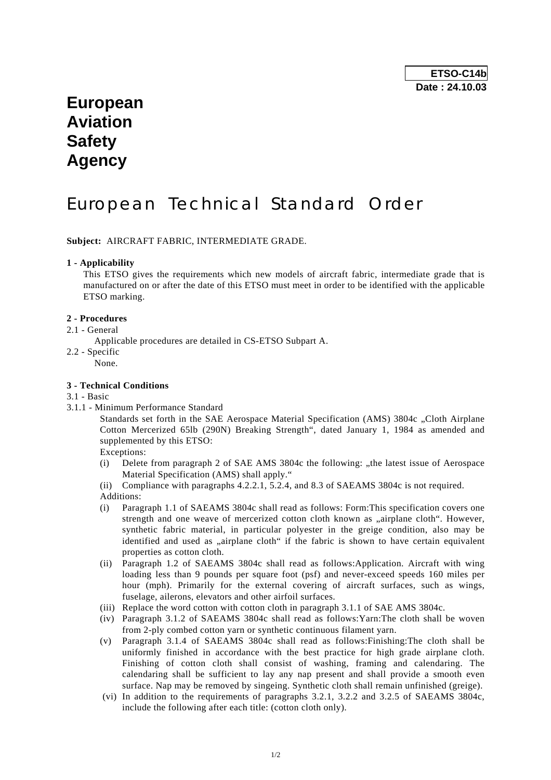# **European Aviation Safety Agency**

# European Technical Standard Order

**Subject:** AIRCRAFT FABRIC, INTERMEDIATE GRADE.

#### **1 - Applicability**

 This ETSO gives the requirements which new models of aircraft fabric, intermediate grade that is manufactured on or after the date of this ETSO must meet in order to be identified with the applicable ETSO marking.

#### **2 - Procedures**

- 2.1 General
	- Applicable procedures are detailed in CS-ETSO Subpart A.
- 2.2 Specific
	- None.

#### **3 - Technical Conditions**

- 3.1 Basic
- 3.1.1 Minimum Performance Standard

Standards set forth in the SAE Aerospace Material Specification (AMS) 3804c . Cloth Airplane Cotton Mercerized 65lb (290N) Breaking Strength", dated January 1, 1984 as amended and supplemented by this ETSO:

Exceptions:

(i) Delete from paragraph 2 of SAE AMS  $3804c$  the following: "the latest issue of Aerospace Material Specification (AMS) shall apply."

(ii) Compliance with paragraphs 4.2.2.1, 5.2.4, and 8.3 of SAEAMS 3804c is not required. Additions:

- (i) Paragraph 1.1 of SAEAMS 3804c shall read as follows: Form:This specification covers one strength and one weave of mercerized cotton cloth known as "airplane cloth". However, synthetic fabric material, in particular polyester in the greige condition, also may be identified and used as "airplane cloth" if the fabric is shown to have certain equivalent properties as cotton cloth.
- (ii) Paragraph 1.2 of SAEAMS 3804c shall read as follows:Application. Aircraft with wing loading less than 9 pounds per square foot (psf) and never-exceed speeds 160 miles per hour (mph). Primarily for the external covering of aircraft surfaces, such as wings, fuselage, ailerons, elevators and other airfoil surfaces.
- (iii) Replace the word cotton with cotton cloth in paragraph 3.1.1 of SAE AMS 3804c.
- (iv) Paragraph 3.1.2 of SAEAMS 3804c shall read as follows:Yarn:The cloth shall be woven from 2-ply combed cotton yarn or synthetic continuous filament yarn.
- (v) Paragraph 3.1.4 of SAEAMS 3804c shall read as follows:Finishing:The cloth shall be uniformly finished in accordance with the best practice for high grade airplane cloth. Finishing of cotton cloth shall consist of washing, framing and calendaring. The calendaring shall be sufficient to lay any nap present and shall provide a smooth even surface. Nap may be removed by singeing. Synthetic cloth shall remain unfinished (greige).
- (vi) In addition to the requirements of paragraphs 3.2.1, 3.2.2 and 3.2.5 of SAEAMS 3804c, include the following after each title: (cotton cloth only).